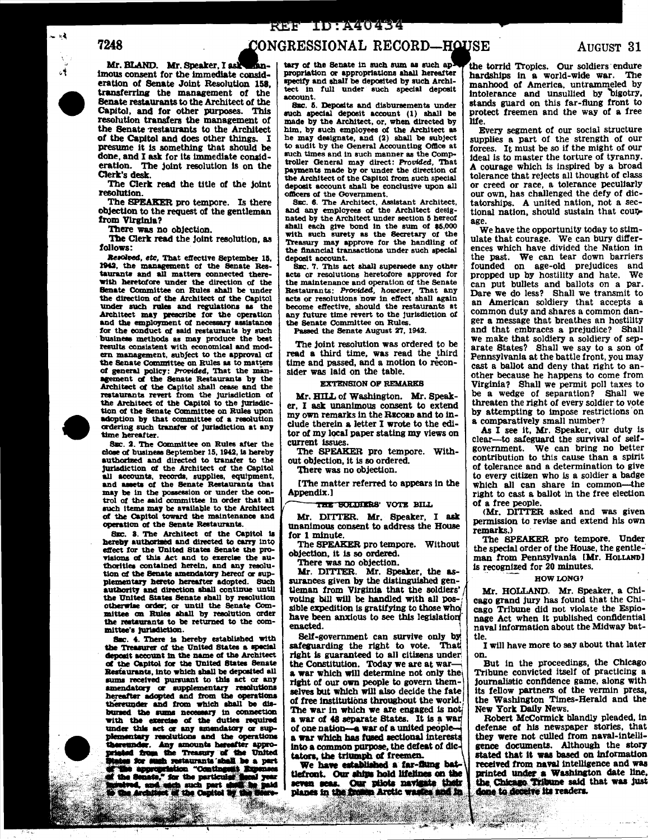# 7248

Mr. BLAND. Mr. Speaker, I ask ħn. imous consent for the immediate consideration of Senate Joint Resolution 158. transferring the management of the Senate restaurants to the Architect of the Capitol, and for other purposes. This resolution transfers the management of the Senate restaurants to the Architect of the Capitol and does other things. I presume it is something that should be done, and I ask for its immediate consideration. The joint resolution is on the Clerk's desk

The Clerk read the title of the joint resolution. The SPEAKER pro tempore. Is there

objection to the request of the gentleman from Virginia?

There was no objection.

The Clerk read the joint resolution, as follows:

Resolved, etc. That effective September 15, 1942, the management of the Senate Restaurants and all matters connected therewith heretofore under the direction of the Senate Committee on Rules shall be under the direction of the Architect of the Capitol under such rules and regulations as the Architect may prescribe for the operation and the employment of necessary assistance for the conduct of said restaurants by such business methods as may produce the best results consistent with economical and modern management, subject to the approval of the Senate Committee on Rules as to matters of general policy: Provided, That the man-<br>agement of the Senate Restaurants by the Architect of the Capitol shall cease and the restaurants revert from the jurisdiction of the Architect of the Capitol to the jurisdiction of the Senate Committee on Rules upon adoption by that committee of a resolution ordering such transfer of jurisdiction at any time hereafter.

SEC. 2. The Committee on Rules after the close of business September 15, 1942, is hereby authorized and directed to transfer to the jurisdiction of the Architect of the Capitol all accounts, records, supplies, equipment, and assets of the Senate Restaurants that may be in the possession or under the control of the said committee in order that all such items may be available to the Architect of the Capitol toward the maintenance and operation of the Senate Restaurants.

SEC. 3. The Architect of the Capitol is hereby authorized and directed to carry into effect for the United States Senate the provisions of this Act and to exercise the authorities contained herein, and any resolution of the Senate amendatory hereof or supplementary hereto hereafter adopted. Such authority and direction shall continue until<br>the United States Senate shall by resolution otherwise order; or until the Senate Committee on Rules shall by resolution order the restaurants to be returned to the committee's jurisdiction.

SEC. 4. There is hereby established with the Treasurer of the United States a special deposit account in the name of the Architect of the Capitol for the United States Senate Restaurants, into which shall be deposited all sums received pursuant to this act or any amendatory or supplementary resolutions<br>hereafter adopted and from the operations thereunder and from which shall be disbursed the sums necessary in connection with the exercise of the duties required under this act or any amendatory or supplementary resolutions and the operations .<br>Mari sunder. Any amounts hereafter approad from the Treasury of the United states for such restaurants some.<br>This appropriation "Contingent Repenses" the senate," for the particular fiscal year.<br>If the Senate," for the particular fiscal year. timet of the Capitol by th



a Secar

CONGRESSIONAL RECORD—HOUSE

tary of the Senate in such sum as such ap propriation or appropriations shall hereafter specify and shall be deposited by such Architect in full under such special deposit account.

SEC. 5. Deposits and disbursements under such special deposit account (1) shall be made by the Architect, or, when directed by him, by such employees of the Architect as he may designate, and (2) shall be subject to audit by the General Accounting Office at such times and in such manner as the Comptroller General may direct: Provided, That payments made by or under the direction of the Architect of the Capitol from such special deposit account shall be conclusive upon all officers of the Government.

SEC. 6. The Architect, Assistant Architect, and any employees of the Architect designated by the Architect under section 5 hereof ahall each give bond in the sum of \$5,000 with such surety as the Secretary of the Treasury may approve for the handling of<br>the financial transactions under such special deposit account.

SEC. 7. This act shall supersede any other acts or resolutions heretofore approved for the maintenance and operation of the Senate Restaurants: Provided, however, That any acts or resolutions now in effect shall again become effective, should the restaurants at any future time revert to the jurisdiction of the Senate Committee on Rules.

Passed the Senate August 27, 1942.

The joint resolution was ordered to be read a third time, was read the third<br>time and passed, and a motion to reconsider was laid on the table.

**EXTENSION OF REMARKS** 

Mr. HILL of Washington. Mr. Speaker. I ask unanimous consent to extend my own remarks in the RECORD and to include therein a letter I wrote to the editor of my local paper stating my views on current issues.

The SPEAKER pro tempore. Without objection, it is so ordered.

There was no objection.

[The matter referred to appears in the Appendix.]

### THE SULDIERS' VOTE BILL

Mr. DITTER. Mr. Speaker, I ask unanimous consent to address the House for 1 minute.

The SPEAKER pro tempore. Without objection, it is so ordered.

There was no objection.

Mr. DITTER. Mr. Speaker, the assurances given by the distinguished gentleman from Virginia that the soldiers' voting bill will be handled with all possible expedition is gratifying to those who have been anxious to see this legislation enacted.

Self-government can survive only by safeguarding the right to vote. That right is guaranteed to all citizens under the Constitution. Today we are at wara war which will determine not only the right of our own people to govern themselves but which will also decide the fate of free institutions throughout the world. The war in which we are engaged is not a war of 48 separate States. It is a war of one nation-a war of a united peoplea war which has fused sectional interests into a common purpose, the defeat of dictators, the triumph of freemen.

We have established a far-flung battlefront. Our ships hold lifelines on the seven seas. Our pilots navigate their planes in the frozen Arctic wastes and in

the torrid Tropics. Our soldiers endure hardships in a world-wide war. The manhood of America, untrammeled by intolerance and unsullied by bigotry, stands guard on this far-flung front to protect freemen and the way of a free life.

Every segment of our social structure supplies a part of the strength of our forces. It must be so if the might of our ideal is to master the torture of tyranny. A courage which is inspired by a broad tolerance that rejects all thought of class or creed or race, a tolerance peculiarly our own, has challenged the defy of dictatorships. A united nation, not a sectional nation, should sustain that courage.

We have the opportunity today to stimulate that courage. We can bury differences which have divided the Nation in the past. We can tear down barriers founded on age-old prejudices and propped up by hostility and hate. We can put bullets and ballots on a par. Dare we do less? Shall we transmit to an American soldiery that accepts a common duty and shares a common danger a message that breathes an hostility and that embraces a prejudice? Shall we make that soldiery a soldiery of separate States? Shall we say to a son of Pennsylvania at the battle front, you may cast a ballot and deny that right to another because he happens to come from Virginia? Shall we permit poll taxes to be a wedge of separation? Shall we threaten the right of every soldier to vote by attempting to impose restrictions on a comparatively small number?

As I see it, Mr. Speaker, our duty is clear-to safeguard the survival of selfgovernment. We can bring no better contribution to this cause than a spirit of tolerance and a determination to give to every citizen who is a soldier a badge which all can share in common-the right to cast a ballot in the free election of a free people.

(Mr. DITTER asked and was given permission to revise and extend his own remarks.)

The SPEAKER pro tempore. Under<br>the special order of the House, the gentleman from Pennsylvania [Mr. HOLLAND] is recognized for 20 minutes.

### HOW LONG?

Mr. HOLLAND. Mr. Speaker, a Chicago grand jury has found that the Chicago Tribune did not violate the Espionage Act when it published confidential naval information about the Midway battle.

I will have more to say about that later on.

But in the proceedings, the Chicago Tribune convicted itself of practicing a journalistic confidence game, along with its fellow partners of the vermin press, the Washington Times-Herald and the New York Daily News.

Robert McCormick blandly pleaded, in defense of his newspaper stories, that they were not culled from naval-intelligence documents. Although the story<br>stated that it was based on information received from naval intelligence and was printed under a Washington date line, the Chicago Tribune said that was just done to deceive its readers.

AUGUST 31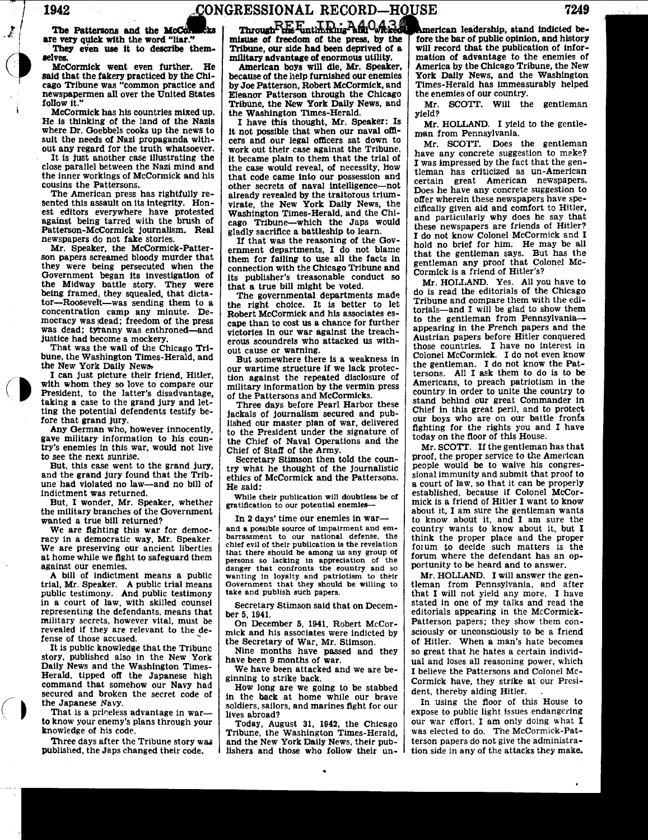i  $\boldsymbol{X}$ !

 $\bigodot$ 

# 1942 .CONGRESSIONAL RECORD-HOUSE

are very quick with the The Pattersons and the

said that the fakery practiced by the Chi-<br>cago Tribune was "common practice and cago Tribune was "common practice and by Joe Patterson, Robert McCormick, and newspapermen all over the United States | Eleanor Patterson through the Chicago newspapermen all over the United States | Eleanor Patterson through the Chicago follow it." Tribune, the New York Daily News, and

McCormick has his countries mixed up.<br>He is thinking of the land of the Nazis

The American press has rightfully re- already revealed by the traitorous trium-<br>sented this assault on its integrity. Hon- virate the New York Daily News, the est editors everywhere have protested against being tarred with the brush of against being tarred with the brush of cago Tribune-which the Japs would Patterson-McCormick journalism. Real  $\sigma$  riadly sacrifice a battleship to learn.

son papers screamed bloody murder that them for failing to use all the facts in they were being persecuted when the connection with the Chicago Tribune and Government began its investigation of its publisher's treasonable conduct so the Midway battle story. They were that a true bill might be voted.<br>
being framed, they squealed, that dicta-<br>
The governmental departments made being framed, they squealed, that dicta- The governmental departments made tor-Roosevelt-was sending them to a  $\mu$ -right choice. It is better to let tor-Roosevelt-was sending them to a the right choice. It is better to let concentration camp any minute. De-<br>Robert McCormick and his associates es-

That was the wail of the Chicago Tri- out cause or warning. bune, the Washington Times-Herald, and  $\begin{bmatrix} 0 & 0 & 0 \\ 0 & \text{But some where there is a weakness in} \\ 0 & \text{but some different terms if we lack price-} \end{bmatrix}$ 

I can just picture their friend, Hitler, tion against the repeated disclosure of with whom they so love to compare our military information by the vermin press President, to the latter's disadvantage, taking a case to the grand jury and letthe grand Jury and  $let$  Three days before Pearl Harbor these ting the potential defendents testify be-  $\frac{1}{12}$  is ckals of journalism secured and pub-

gave military information to his coun- the Chief of Naval Operations and the try's enemies in this war, would not live Chief of Staff of the Army.<br>to see the next sunrise. Secretary Stimson then the

and the grand Jury found that the Trib-<br>indictment was returned.<br> $\begin{array}{c|c}\n\hline\n\text{Hence had violated no law—and no bill of }\n\end{array}\n\quad\n\begin{array}{c}\n\hline\n\text{the said:}\n\end{array}\n\quad\n\begin{array}{c}\n\hline\n\text{Hence has a rule of the two points, which is the same as a point of the points.}\n\end{array}\n\quad\n\begin{array}{c}\n\hline\n\text{Hence has a point of the points.}\n\end{array}\n\quad\n\begin{array}{c$ 

the military branches of the Government<br>wanted a true bill returned?

racy in a democratic way, Mr. Speaker.<br>We are preserving our ancient liberties chief evil of their publication is the revelation<br>at home while we fight to safeguard them<br>that there should be among us any group of

trial, Mr. Speaker. A public trial means Government that they should be willing to trial, Mr. Speaker. A public trial means  $\begin{array}{|l|l|}\n\hline\n\end{array}$  Government that they should<br>public testimony. And public testimony take and publish such papers.<br>in a court of law, with skilled counsel Secretary Stimson s representing the defendants, means that  $\left| \right.$  ber 5, 1941. military secrets, however vital. must be on December 5, 1941, Robert McCorrevealed if they are relevant to the de-<br>fense of those accused.

finition of those accused.<br>It is public knowledge that the Tribunce  $\begin{array}{|l|l|} \hline \end{array}$  the Secretary of War, Mr. Stimson. It is public knowledge that the Tribune  $\vert$  Nine months have passed and they story, published also in the New York have been 9 months of war story, published also in the New York have been 9 months of war.<br>Daily News and the Washington Times-<br>We have been attacked and we are be-Herald, tipped off the Japanese high ginning to strike back. command that somehow our Navy had  $\vert$  How long are we going to be stabbed secured and broken the secret code of in the back at home while our brave<br>the Japanese Navy.

to know your enemy's plans through your Today, August 31, 1942, the Chicago

The Pattersons and the McCornecks ... Through  $\frac{\text{PE-Entimning And} \text{And} \text{Case}}{\text{miseu}}$  are very quick with the word "liar." misuse of freedom of the press, by the ... They even use it to describe them- Tribune, our side had been d

He | American boys will die, Mr. Speaker,<br>Chi- | because of the help furnished our enemies Tribune, the New York Daily News, and the Washington Times-Herald.

He is thinking of the land of the Nazis I have this thought, Mr. Speaker: Is where Dr. Goebbels cooks up the news to it not possible that when our naval offisuit the needs of Nazi propaganda with-<br>  $\begin{array}{|l|l|}\n\hline\n\text{cers} \text{ and our legal officers sat down to} \\
\text{out any regard for the truth whatsoever.}\n\end{array}$ It any regard for the truth whatsoever. work out their case against the Tribune,  $\frac{1}{1}$  is just another case illustrating the  $\frac{1}{1}$  it became plain to them that the trial of It is just another case illustrating the it became plain to them that the trial of close parallel between the Nazi mind and  $\vert$  the case would reveal, of necessity, how close parallel between the Nazi mind and  $\vert$  the case would reveal, of necessity, how the inner workings of McCormick and his  $\vert$  that code came into our possession and the inner workings of McCormick and his that code came into our possession and cousins the Pattersons. usins the Pattersons.<br>The American press has rightfully re-<br>already revealed by the traitorous triumvirate, the New York Daily News, the Washington Times-Herald, and the Chigladly sacrifice a battleship to learn.<br>If that was the reasoning of the Gov-

newspapers do not fake stories.<br>
Mr. Speaker, the McCormick-Patter-<br>
ernment departments, I do not blame connection with the Chicago Tribune and

mocracy was sidead; freedom of the press<br>was cape than to cost us a chance for further<br>was dead; tyranny was enthroned—and<br>justice had become a mockery.<br>erolls scoundrels who attacked us witherous scoundrels who attacked us with-

the New York Daily News-<br>I can just picture their friend, Hitler, if  $\frac{1}{2}$  our wartime structure if we lack protecmilitary information by the vermin press of the Pattersons and McCormicks.

ting the potential defendents testify be-<br>fore that grand jury.<br>Itshed our master plan of war delivered Forthat grand jury.<br> **Any German who, however innocently, is to the President under the signature of** to the President under the signature of

to see the next sunrise.<br>But, this case went to the grand jury, secretary Stimson then told the coun-<br>and the grand jury found that the Trib-<br>ethics of McCormick and the Pettersons

indictment was returned.  $\begin{array}{c} \text{But, I wonder, Mr. Speaker, whether } \end{array}$  while their publication will doubtless be of

wanted a true bill returned? In 2 days' time our enemies in war- We are fighting this war for democ- and a possible source of Impairment and em- racy in a democratic way, Mr. Speaker. barrassment to our national defense, the at home while we fight to safeguard them persons so lacking in appreciation of the against our enemies. against our enemies.<br>
A bill of indictment means a public wanting in loyalty and patriotism to their

Secretary Stimson said that on Decem-

the Japanese Navy.<br>That is a priceless advantage in war-<br>to know your enemy's plans through your<br>Today. August 31, 1942, the Chicago

knowledge of his code. The Tribune, the Washington Times-Herald, Three days after the Tribune story was and the New York Daily News, their pub-<br>published, the Japs changed their code. Itshers and those who follow their unlishers and those who follow their un- $\frac{1}{2}$ 

**American leadership, stand indicted be-**<br>fore the bar of public opinion, and history will record that the publication of information of advantage to the enemies of America by the Chicago Tribune, the New York Daily News, and the Washington Times-Herald has immeasurably helped the enemies of our country.

Mr. SCOTT. Will the gentleman yield?

Mr. HOLLAND. I yield to the gentle- man from Pennsylvania.

Mr. SCOTT. Does the gentleman have any concrete suggestion to make? I was impressed by the fact that the gentleman has criticized as Un-American certain great American newspapers. Does he have any concrete suggestion to offer wherein these newspapers have specifically given aid and comfort to Hitler, and particularly why does he say that these newspapers are friends of Hitler? I do not know Colonel McCormick and I hold no brief for him. He may be all that the gentleman says. But has the gentleman any proof that Colonel Mc-Cormick is a friend of Hitler's?

Mr. HOLLAND. Yes. All you have to do is read the editorials of the Chicago Tribune and compare them with the editorials-and I will be glad to show them to the gentleman from Pennsylvaniaappearing in the French papers and the Austrian papers before Hitler conquered those countries. I have no interest in Colonel McCormick. I do not even know the gentleman. I do not know the Pattersons. All I ask them to do is to be Americans, to preach patriotism in the country in order to unite the country to stand behind our great Commander in<br>Chief in this great peril, and to protect our boys who are on our battle fronts fighting for the rights you and I have today on the floor of this House.

Mr. SCOTT. If the gentleman has that proof, the proper service to the American people would be to waive his congresa court of law, so that it can be properly established, because if Colonel McCormick is a friend of Hitler I want to know about it, I am sure the gentleman wants to know about it, and I am sure the country wants to know about it, but I think the proper place and the proper f01um to decide such matters is the forum where the defendant has an opportunity to be heard and to answer.

Mr. HOLLAND. I will answer the gentleman from Pennsylvania, and after that I will not yield any more. I have stated in one of my talks and read the editorials appearing in the McCormick-Patterson papers; they show them consciously or unconsciously to be a friend of Hitler. When a man's hate becomes so great that he hates a certain individual and loses all reasoning power, which I believe the Pattersons and Colonel Mc-Cormick have, they strike at our President, thereby aiding Hitler.

In using the floor of this House to expose to public light Issues endangering our war effort, I am only doing what I was elected to do. The McCormick-Patterson papers do not give the administration side in any of the attacks they make.